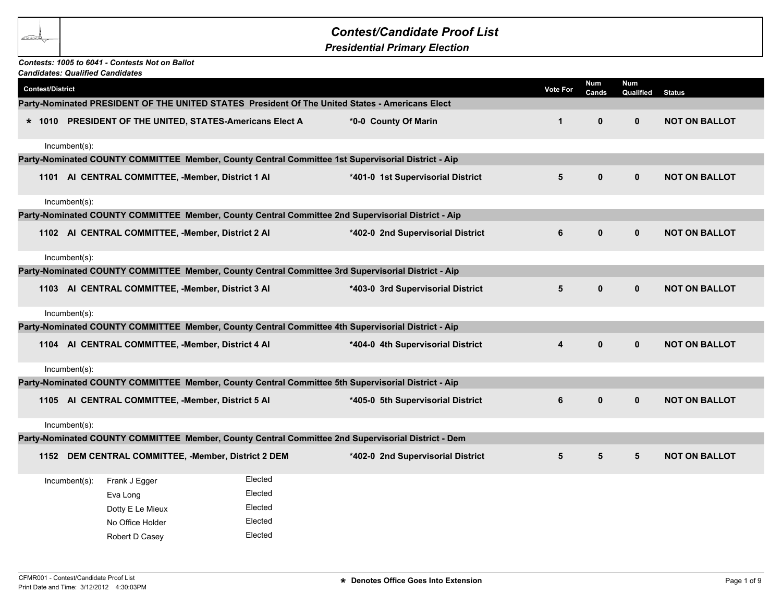## *Contest/Candidate Proof List*

*Presidential Primary Election*

## *Candidates: Qualified Candidates Contests: 1005 to 6041 - Contests Not on Ballot*

|                         | Candidates: Qualified Candidates |                  |                                                          |                                                                                                    |                         |                     |                         |                      |
|-------------------------|----------------------------------|------------------|----------------------------------------------------------|----------------------------------------------------------------------------------------------------|-------------------------|---------------------|-------------------------|----------------------|
| <b>Contest/District</b> |                                  |                  |                                                          |                                                                                                    | <b>Vote For</b>         | <b>Num</b><br>Cands | <b>Num</b><br>Qualified | <b>Status</b>        |
|                         |                                  |                  |                                                          | Party-Nominated PRESIDENT OF THE UNITED STATES  President Of The United States - Americans Elect   |                         |                     |                         |                      |
|                         |                                  |                  | * 1010 PRESIDENT OF THE UNITED, STATES-Americans Elect A | *0-0 County Of Marin                                                                               | $\mathbf{1}$            | $\mathbf{0}$        | $\mathbf{0}$            | <b>NOT ON BALLOT</b> |
|                         | Incumbent(s):                    |                  |                                                          |                                                                                                    |                         |                     |                         |                      |
|                         |                                  |                  |                                                          | Party-Nominated COUNTY COMMITTEE Member, County Central Committee 1st Supervisorial District - Aip |                         |                     |                         |                      |
|                         |                                  |                  | 1101 AI CENTRAL COMMITTEE, -Member, District 1 AI        | *401-0 1st Supervisorial District                                                                  | $\overline{\mathbf{5}}$ | $\mathbf 0$         | $\mathbf 0$             | <b>NOT ON BALLOT</b> |
|                         | Incumbent(s):                    |                  |                                                          |                                                                                                    |                         |                     |                         |                      |
|                         |                                  |                  |                                                          | Party-Nominated COUNTY COMMITTEE Member, County Central Committee 2nd Supervisorial District - Aip |                         |                     |                         |                      |
|                         |                                  |                  | 1102 AI CENTRAL COMMITTEE, -Member, District 2 AI        | *402-0 2nd Supervisorial District                                                                  | 6                       | $\mathbf{0}$        | $\mathbf{0}$            | <b>NOT ON BALLOT</b> |
|                         | Incumbent(s):                    |                  |                                                          |                                                                                                    |                         |                     |                         |                      |
|                         |                                  |                  |                                                          | Party-Nominated COUNTY COMMITTEE Member, County Central Committee 3rd Supervisorial District - Aip |                         |                     |                         |                      |
|                         |                                  |                  | 1103 AI CENTRAL COMMITTEE, -Member, District 3 AI        | *403-0 3rd Supervisorial District                                                                  | 5                       | $\mathbf 0$         | $\mathbf{0}$            | <b>NOT ON BALLOT</b> |
|                         | Incumbent(s):                    |                  |                                                          |                                                                                                    |                         |                     |                         |                      |
|                         |                                  |                  |                                                          | Party-Nominated COUNTY COMMITTEE Member, County Central Committee 4th Supervisorial District - Aip |                         |                     |                         |                      |
|                         |                                  |                  | 1104 AI CENTRAL COMMITTEE, -Member, District 4 AI        | *404-0 4th Supervisorial District                                                                  | 4                       | $\mathbf 0$         | $\mathbf{0}$            | <b>NOT ON BALLOT</b> |
|                         | Incumbent(s):                    |                  |                                                          |                                                                                                    |                         |                     |                         |                      |
|                         |                                  |                  |                                                          | Party-Nominated COUNTY COMMITTEE Member, County Central Committee 5th Supervisorial District - Aip |                         |                     |                         |                      |
|                         |                                  |                  | 1105 AI CENTRAL COMMITTEE, -Member, District 5 AI        | *405-0 5th Supervisorial District                                                                  | $\bf 6$                 | $\pmb{0}$           | $\mathbf 0$             | <b>NOT ON BALLOT</b> |
|                         | Incumbent(s):                    |                  |                                                          |                                                                                                    |                         |                     |                         |                      |
|                         |                                  |                  |                                                          | Party-Nominated COUNTY COMMITTEE Member, County Central Committee 2nd Supervisorial District - Dem |                         |                     |                         |                      |
|                         |                                  |                  | 1152 DEM CENTRAL COMMITTEE, -Member, District 2 DEM      | *402-0 2nd Supervisorial District                                                                  | $5\phantom{a}$          | $5\phantom{a}$      | $5\phantom{.0}$         | <b>NOT ON BALLOT</b> |
|                         | $Incumbent(s)$ :                 | Frank J Egger    | Elected                                                  |                                                                                                    |                         |                     |                         |                      |
|                         |                                  | Eva Long         | Elected                                                  |                                                                                                    |                         |                     |                         |                      |
|                         |                                  | Dotty E Le Mieux | Elected                                                  |                                                                                                    |                         |                     |                         |                      |
|                         |                                  | No Office Holder | Elected                                                  |                                                                                                    |                         |                     |                         |                      |
|                         |                                  | Robert D Casey   | Elected                                                  |                                                                                                    |                         |                     |                         |                      |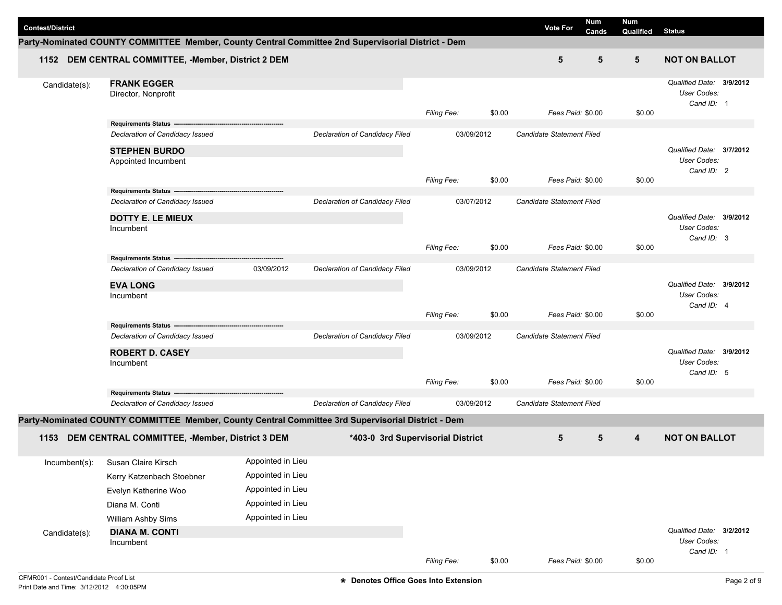|                         |                                                                                                    |                   |                                   |                    |        |                                  | Num   | <b>Num</b>               |                                         |  |
|-------------------------|----------------------------------------------------------------------------------------------------|-------------------|-----------------------------------|--------------------|--------|----------------------------------|-------|--------------------------|-----------------------------------------|--|
| <b>Contest/District</b> |                                                                                                    |                   |                                   |                    |        | <b>Vote For</b>                  | Cands | Qualified                | <b>Status</b>                           |  |
|                         | Party-Nominated COUNTY COMMITTEE Member, County Central Committee 2nd Supervisorial District - Dem |                   |                                   |                    |        |                                  |       |                          |                                         |  |
|                         | 1152 DEM CENTRAL COMMITTEE, -Member, District 2 DEM                                                |                   |                                   |                    |        | 5                                | 5     | 5                        | <b>NOT ON BALLOT</b>                    |  |
| Candidate(s):           | <b>FRANK EGGER</b>                                                                                 |                   |                                   |                    |        |                                  |       |                          | Qualified Date: 3/9/2012                |  |
|                         | Director, Nonprofit                                                                                |                   |                                   |                    |        |                                  |       |                          | User Codes:                             |  |
|                         |                                                                                                    |                   |                                   | Filing Fee:        | \$0.00 | Fees Paid: \$0.00                |       | \$0.00                   | Cand ID: 1                              |  |
|                         | <b>Requirements Status</b>                                                                         |                   |                                   |                    |        |                                  |       |                          |                                         |  |
|                         | Declaration of Candidacy Issued                                                                    |                   | Declaration of Candidacy Filed    | 03/09/2012         |        | Candidate Statement Filed        |       |                          |                                         |  |
|                         | <b>STEPHEN BURDO</b>                                                                               |                   |                                   |                    |        |                                  |       |                          | Qualified Date: 3/7/2012                |  |
|                         | Appointed Incumbent                                                                                |                   |                                   |                    |        |                                  |       |                          | User Codes:<br>Cand ID: 2               |  |
|                         |                                                                                                    |                   |                                   | <b>Filing Fee:</b> | \$0.00 | Fees Paid: \$0.00                |       | \$0.00                   |                                         |  |
|                         | Requirements Status --                                                                             |                   |                                   |                    |        |                                  |       |                          |                                         |  |
|                         | Declaration of Candidacy Issued                                                                    |                   | Declaration of Candidacy Filed    | 03/07/2012         |        | Candidate Statement Filed        |       |                          |                                         |  |
|                         | <b>DOTTY E. LE MIEUX</b>                                                                           |                   |                                   |                    |        |                                  |       |                          | Qualified Date: 3/9/2012                |  |
|                         | Incumbent                                                                                          |                   |                                   |                    |        |                                  |       |                          | User Codes:<br>Cand ID: 3               |  |
|                         |                                                                                                    |                   |                                   | Filing Fee:        | \$0.00 | Fees Paid: \$0.00                |       | \$0.00                   |                                         |  |
|                         | Requirements Status ---------------------                                                          | 03/09/2012        |                                   | 03/09/2012         |        |                                  |       |                          |                                         |  |
|                         | Declaration of Candidacy Issued                                                                    |                   | Declaration of Candidacy Filed    |                    |        | Candidate Statement Filed        |       |                          |                                         |  |
|                         | <b>EVA LONG</b>                                                                                    |                   |                                   |                    |        |                                  |       |                          | Qualified Date: 3/9/2012<br>User Codes: |  |
|                         | Incumbent                                                                                          |                   |                                   |                    |        |                                  |       |                          | Cand ID: 4                              |  |
|                         |                                                                                                    |                   |                                   | Filing Fee:        | \$0.00 | Fees Paid: \$0.00                |       | \$0.00                   |                                         |  |
|                         | Requirements Status -------<br>Declaration of Candidacy Issued                                     |                   | Declaration of Candidacy Filed    |                    |        | <b>Candidate Statement Filed</b> |       |                          |                                         |  |
|                         |                                                                                                    | 03/09/2012        |                                   |                    |        |                                  |       | Qualified Date: 3/9/2012 |                                         |  |
|                         | <b>ROBERT D. CASEY</b><br>Incumbent                                                                |                   |                                   |                    |        |                                  |       |                          |                                         |  |
|                         |                                                                                                    |                   |                                   |                    |        |                                  |       |                          | User Codes:<br>Cand ID: 5               |  |
|                         |                                                                                                    |                   |                                   | <b>Filing Fee:</b> | \$0.00 | Fees Paid: \$0.00                |       | \$0.00                   |                                         |  |
|                         | Declaration of Candidacy Issued                                                                    |                   | Declaration of Candidacy Filed    | 03/09/2012         |        | Candidate Statement Filed        |       |                          |                                         |  |
|                         | Party-Nominated COUNTY COMMITTEE Member, County Central Committee 3rd Supervisorial District - Dem |                   |                                   |                    |        |                                  |       |                          |                                         |  |
|                         |                                                                                                    |                   |                                   |                    |        |                                  |       |                          |                                         |  |
| 1153                    | DEM CENTRAL COMMITTEE, -Member, District 3 DEM                                                     |                   | *403-0 3rd Supervisorial District |                    |        | 5                                | 5     | 4                        | <b>NOT ON BALLOT</b>                    |  |
| Incumbent(s):           | Susan Claire Kirsch                                                                                | Appointed in Lieu |                                   |                    |        |                                  |       |                          |                                         |  |
|                         | Kerry Katzenbach Stoebner                                                                          | Appointed in Lieu |                                   |                    |        |                                  |       |                          |                                         |  |
|                         | Evelyn Katherine Woo                                                                               | Appointed in Lieu |                                   |                    |        |                                  |       |                          |                                         |  |
|                         | Diana M. Conti                                                                                     | Appointed in Lieu |                                   |                    |        |                                  |       |                          |                                         |  |
|                         | William Ashby Sims                                                                                 | Appointed in Lieu |                                   |                    |        |                                  |       |                          |                                         |  |
| Candidate(s):           | <b>DIANA M. CONTI</b>                                                                              |                   |                                   |                    |        |                                  |       |                          | Qualified Date: 3/2/2012                |  |
|                         | Incumbent                                                                                          |                   |                                   |                    |        |                                  |       |                          | User Codes:<br>Cand ID: 1               |  |
|                         |                                                                                                    |                   |                                   | Filing Fee:        | \$0.00 | Fees Paid: \$0.00                |       | \$0.00                   |                                         |  |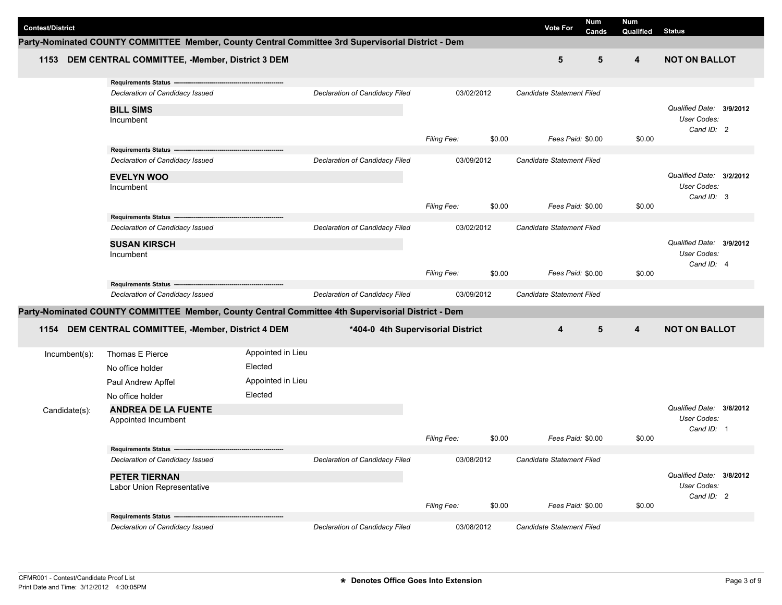| <b>Contest/District</b> |                                                                                                    |                   |                                   |                    |            | <b>Vote For</b>                  | Num<br>Cands | <b>Num</b><br>Qualified | <b>Status</b>                           |  |
|-------------------------|----------------------------------------------------------------------------------------------------|-------------------|-----------------------------------|--------------------|------------|----------------------------------|--------------|-------------------------|-----------------------------------------|--|
|                         | Party-Nominated COUNTY COMMITTEE Member, County Central Committee 3rd Supervisorial District - Dem |                   |                                   |                    |            |                                  |              |                         |                                         |  |
| 1153                    | DEM CENTRAL COMMITTEE, -Member, District 3 DEM                                                     |                   |                                   |                    |            | 5                                | 5            | 4                       | <b>NOT ON BALLOT</b>                    |  |
|                         | Requirements Status --------------                                                                 |                   |                                   |                    |            |                                  |              |                         |                                         |  |
|                         | Declaration of Candidacy Issued                                                                    |                   | Declaration of Candidacy Filed    |                    | 03/02/2012 | <b>Candidate Statement Filed</b> |              |                         |                                         |  |
|                         | <b>BILL SIMS</b>                                                                                   |                   |                                   |                    |            |                                  |              |                         | Qualified Date: 3/9/2012                |  |
|                         | Incumbent                                                                                          |                   |                                   |                    |            |                                  |              |                         | User Codes:                             |  |
|                         |                                                                                                    |                   |                                   |                    |            |                                  |              |                         | Cand ID: 2                              |  |
|                         | Requirements Status ---------------------------------                                              |                   |                                   | Filing Fee:        | \$0.00     | Fees Paid: \$0.00                |              | \$0.00                  |                                         |  |
|                         | Declaration of Candidacy Issued                                                                    |                   | Declaration of Candidacy Filed    |                    | 03/09/2012 | Candidate Statement Filed        |              |                         |                                         |  |
|                         |                                                                                                    |                   |                                   |                    |            |                                  |              |                         | Qualified Date: 3/2/2012                |  |
|                         | <b>EVELYN WOO</b><br>Incumbent                                                                     |                   |                                   |                    |            |                                  |              |                         | User Codes:                             |  |
|                         |                                                                                                    |                   |                                   |                    |            |                                  |              |                         | Cand ID: 3                              |  |
|                         |                                                                                                    |                   |                                   | <b>Filing Fee:</b> | \$0.00     | Fees Paid: \$0.00                |              | \$0.00                  |                                         |  |
|                         | Requirements Status ---<br>Declaration of Candidacy Issued                                         |                   | Declaration of Candidacy Filed    |                    | 03/02/2012 | Candidate Statement Filed        |              |                         |                                         |  |
|                         |                                                                                                    |                   |                                   |                    |            |                                  |              |                         |                                         |  |
|                         | <b>SUSAN KIRSCH</b>                                                                                |                   |                                   |                    |            |                                  |              |                         | Qualified Date: 3/9/2012<br>User Codes: |  |
|                         | Incumbent                                                                                          |                   |                                   |                    |            |                                  |              |                         | Cand ID: 4                              |  |
|                         |                                                                                                    |                   |                                   | Filing Fee:        | \$0.00     | Fees Paid: \$0.00                |              | \$0.00                  |                                         |  |
|                         | <b>Requirements Status -</b>                                                                       |                   |                                   |                    |            |                                  |              |                         |                                         |  |
|                         | Declaration of Candidacy Issued                                                                    |                   | Declaration of Candidacy Filed    |                    | 03/09/2012 | Candidate Statement Filed        |              |                         |                                         |  |
|                         | Party-Nominated COUNTY COMMITTEE Member, County Central Committee 4th Supervisorial District - Dem |                   |                                   |                    |            |                                  |              |                         |                                         |  |
| 1154                    | DEM CENTRAL COMMITTEE, -Member, District 4 DEM                                                     |                   | *404-0 4th Supervisorial District |                    |            | 4                                | 5            | $\overline{\mathbf{4}}$ | <b>NOT ON BALLOT</b>                    |  |
| Incumbent(s):           | Thomas E Pierce                                                                                    | Appointed in Lieu |                                   |                    |            |                                  |              |                         |                                         |  |
|                         | No office holder                                                                                   | Elected           |                                   |                    |            |                                  |              |                         |                                         |  |
|                         | Paul Andrew Apffel                                                                                 | Appointed in Lieu |                                   |                    |            |                                  |              |                         |                                         |  |
|                         | No office holder                                                                                   | Elected           |                                   |                    |            |                                  |              |                         |                                         |  |
| Candidate(s):           | <b>ANDREA DE LA FUENTE</b>                                                                         |                   |                                   |                    |            |                                  |              |                         | Qualified Date: 3/8/2012                |  |
|                         | Appointed Incumbent                                                                                |                   |                                   |                    |            |                                  |              |                         | User Codes:                             |  |
|                         |                                                                                                    |                   |                                   |                    |            |                                  |              |                         | Cand ID: 1                              |  |
|                         | Requirements Status ----                                                                           |                   |                                   | <b>Filing Fee:</b> | \$0.00     | Fees Paid: \$0.00                |              | \$0.00                  |                                         |  |
|                         | Declaration of Candidacy Issued                                                                    |                   | Declaration of Candidacy Filed    |                    | 03/08/2012 | Candidate Statement Filed        |              |                         |                                         |  |
|                         | <b>PETER TIERNAN</b>                                                                               |                   |                                   |                    |            |                                  |              |                         | Qualified Date: 3/8/2012                |  |
|                         | Labor Union Representative                                                                         |                   |                                   |                    |            |                                  |              |                         | User Codes:                             |  |
|                         |                                                                                                    |                   |                                   |                    |            |                                  |              |                         | Cand ID: 2                              |  |
|                         |                                                                                                    |                   |                                   | Filing Fee:        | \$0.00     | Fees Paid: \$0.00                |              | \$0.00                  |                                         |  |
|                         | Requirements Status -------------------------<br>Declaration of Candidacy Issued                   |                   | Declaration of Candidacy Filed    |                    | 03/08/2012 | Candidate Statement Filed        |              |                         |                                         |  |
|                         |                                                                                                    |                   |                                   |                    |            |                                  |              |                         |                                         |  |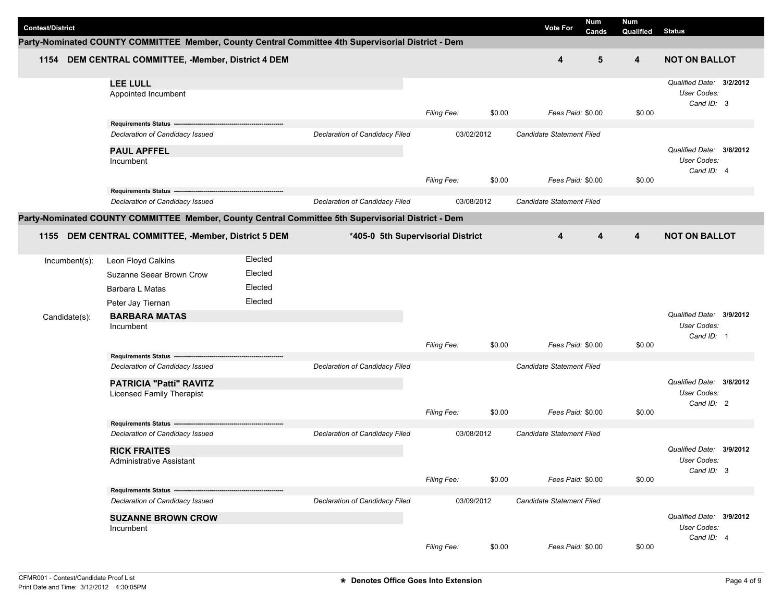| <b>Contest/District</b> |                                                                                                    |         |                                   |                    |        | Num<br><b>Vote For</b>    | Num       |                                                              |
|-------------------------|----------------------------------------------------------------------------------------------------|---------|-----------------------------------|--------------------|--------|---------------------------|-----------|--------------------------------------------------------------|
|                         | Party-Nominated COUNTY COMMITTEE Member, County Central Committee 4th Supervisorial District - Dem |         |                                   |                    |        | Cands                     | Qualified | <b>Status</b>                                                |
|                         | 1154 DEM CENTRAL COMMITTEE, -Member, District 4 DEM                                                |         |                                   |                    |        | 4                         | 5<br>4    | <b>NOT ON BALLOT</b>                                         |
|                         | <b>LEE LULL</b><br>Appointed Incumbent                                                             |         |                                   | Filing Fee:        | \$0.00 | Fees Paid: \$0.00         | \$0.00    | Qualified Date: 3/2/2012<br><b>User Codes:</b><br>Cand ID: 3 |
|                         | <b>Requirements Status</b>                                                                         |         |                                   |                    |        |                           |           |                                                              |
|                         | Declaration of Candidacy Issued                                                                    |         | Declaration of Candidacy Filed    | 03/02/2012         |        | Candidate Statement Filed |           |                                                              |
|                         | <b>PAUL APFFEL</b><br>Incumbent                                                                    |         |                                   | Filing Fee:        | \$0.00 | Fees Paid: \$0.00         | \$0.00    | Qualified Date: 3/8/2012<br>User Codes:<br>Cand ID: 4        |
|                         | Requirements Status --                                                                             |         |                                   |                    |        |                           |           |                                                              |
|                         | Declaration of Candidacy Issued                                                                    |         | Declaration of Candidacy Filed    | 03/08/2012         |        | Candidate Statement Filed |           |                                                              |
|                         | Party-Nominated COUNTY COMMITTEE Member, County Central Committee 5th Supervisorial District - Dem |         |                                   |                    |        |                           |           |                                                              |
|                         | 1155 DEM CENTRAL COMMITTEE, -Member, District 5 DEM                                                |         | *405-0 5th Supervisorial District |                    |        | 4                         | 4<br>4    | <b>NOT ON BALLOT</b>                                         |
| Incumbent(s):           | Leon Floyd Calkins                                                                                 | Elected |                                   |                    |        |                           |           |                                                              |
|                         | Suzanne Seear Brown Crow                                                                           | Elected |                                   |                    |        |                           |           |                                                              |
|                         | Barbara L Matas                                                                                    | Elected |                                   |                    |        |                           |           |                                                              |
|                         | Peter Jay Tiernan                                                                                  | Elected |                                   |                    |        |                           |           |                                                              |
| Candidate(s):           | <b>BARBARA MATAS</b><br>Incumbent                                                                  |         |                                   |                    |        |                           |           | Qualified Date: 3/9/2012<br><b>User Codes:</b><br>Cand ID: 1 |
|                         |                                                                                                    |         |                                   | <b>Filing Fee:</b> | \$0.00 | Fees Paid: \$0.00         | \$0.00    |                                                              |
|                         | Requirements Status --                                                                             |         |                                   |                    |        |                           |           |                                                              |
|                         | Declaration of Candidacy Issued                                                                    |         | Declaration of Candidacy Filed    |                    |        | Candidate Statement Filed |           |                                                              |
|                         | <b>PATRICIA "Patti" RAVITZ</b><br><b>Licensed Family Therapist</b>                                 |         |                                   |                    |        |                           |           | Qualified Date: 3/8/2012<br><b>User Codes:</b><br>Cand ID: 2 |
|                         | Requirements Status ----                                                                           |         |                                   | Filing Fee:        | \$0.00 | Fees Paid: \$0.00         | \$0.00    |                                                              |
|                         | Declaration of Candidacy Issued                                                                    |         | Declaration of Candidacy Filed    | 03/08/2012         |        | Candidate Statement Filed |           |                                                              |
|                         | <b>RICK FRAITES</b><br>Administrative Assistant                                                    |         |                                   |                    |        |                           |           | Qualified Date: 3/9/2012<br>User Codes:<br>Cand ID: 3        |
|                         |                                                                                                    |         |                                   | Filing Fee:        | \$0.00 | Fees Paid: \$0.00         | \$0.00    |                                                              |
|                         | Requirements Status ------<br>Declaration of Candidacy Issued                                      |         | Declaration of Candidacy Filed    | 03/09/2012         |        | Candidate Statement Filed |           |                                                              |
|                         |                                                                                                    |         |                                   |                    |        |                           |           |                                                              |
|                         | <b>SUZANNE BROWN CROW</b><br>Incumbent                                                             |         |                                   |                    |        |                           |           | Qualified Date: 3/9/2012<br>User Codes:                      |
|                         |                                                                                                    |         |                                   |                    |        |                           |           | Cand ID: 4                                                   |
|                         |                                                                                                    |         |                                   | Filing Fee:        | \$0.00 | Fees Paid: \$0.00         | \$0.00    |                                                              |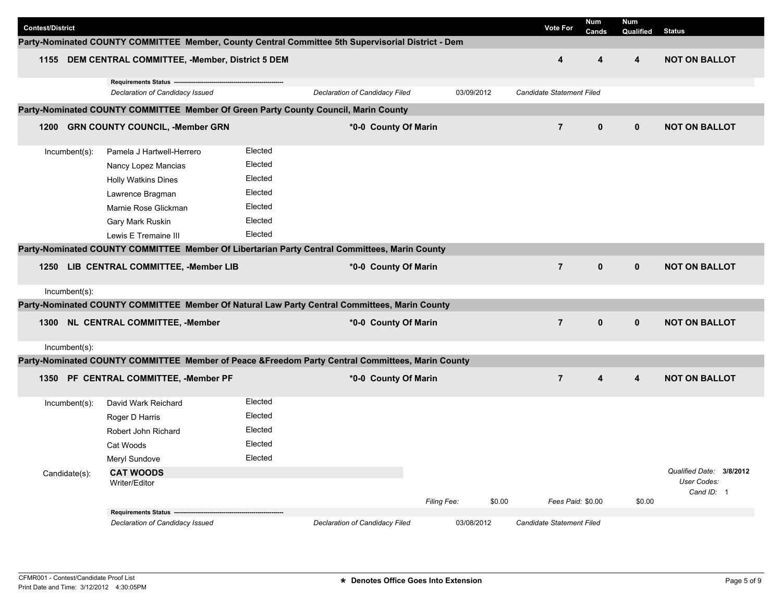| <b>Contest/District</b> |                                                                                                                                                                        |                                                                           |                                                                                                    |                       | <b>Vote For</b>           | Num<br>Cands | Num<br>Qualified | <b>Status</b>                          |
|-------------------------|------------------------------------------------------------------------------------------------------------------------------------------------------------------------|---------------------------------------------------------------------------|----------------------------------------------------------------------------------------------------|-----------------------|---------------------------|--------------|------------------|----------------------------------------|
|                         |                                                                                                                                                                        |                                                                           | Party-Nominated COUNTY COMMITTEE Member, County Central Committee 5th Supervisorial District - Dem |                       |                           |              |                  |                                        |
|                         | 1155 DEM CENTRAL COMMITTEE, -Member, District 5 DEM                                                                                                                    |                                                                           |                                                                                                    |                       | 4                         | 4            | 4                | <b>NOT ON BALLOT</b>                   |
|                         | Declaration of Candidacy Issued                                                                                                                                        |                                                                           | Declaration of Candidacy Filed                                                                     | 03/09/2012            | Candidate Statement Filed |              |                  |                                        |
|                         | Party-Nominated COUNTY COMMITTEE Member Of Green Party County Council, Marin County                                                                                    |                                                                           |                                                                                                    |                       |                           |              |                  |                                        |
|                         | 1200 GRN COUNTY COUNCIL, -Member GRN                                                                                                                                   |                                                                           | *0-0 County Of Marin                                                                               |                       | $\overline{7}$            | $\mathbf 0$  | $\mathbf 0$      | <b>NOT ON BALLOT</b>                   |
| Incumbent(s):           | Pamela J Hartwell-Herrero<br>Nancy Lopez Mancias<br><b>Holly Watkins Dines</b><br>Lawrence Bragman<br>Marnie Rose Glickman<br>Gary Mark Ruskin<br>Lewis E Tremaine III | Elected<br>Elected<br>Elected<br>Elected<br>Elected<br>Elected<br>Elected |                                                                                                    |                       |                           |              |                  |                                        |
|                         |                                                                                                                                                                        |                                                                           | Party-Nominated COUNTY COMMITTEE Member Of Libertarian Party Central Committees, Marin County      |                       |                           |              |                  |                                        |
| 1250                    | LIB CENTRAL COMMITTEE, -Member LIB                                                                                                                                     |                                                                           | *0-0 County Of Marin                                                                               |                       | $\overline{7}$            | $\mathbf 0$  | $\mathbf 0$      | <b>NOT ON BALLOT</b>                   |
| Incumbent(s):           |                                                                                                                                                                        |                                                                           |                                                                                                    |                       |                           |              |                  |                                        |
|                         |                                                                                                                                                                        |                                                                           | Party-Nominated COUNTY COMMITTEE Member Of Natural Law Party Central Committees, Marin County      |                       |                           |              |                  |                                        |
|                         | 1300 NL CENTRAL COMMITTEE, -Member                                                                                                                                     |                                                                           | *0-0 County Of Marin                                                                               |                       | $\overline{7}$            | $\mathbf{0}$ | $\mathbf 0$      | <b>NOT ON BALLOT</b>                   |
| Incumbent(s):           |                                                                                                                                                                        |                                                                           |                                                                                                    |                       |                           |              |                  |                                        |
|                         |                                                                                                                                                                        |                                                                           | Party-Nominated COUNTY COMMITTEE Member of Peace &Freedom Party Central Committees, Marin County   |                       |                           |              |                  |                                        |
|                         | 1350 PF CENTRAL COMMITTEE, -Member PF                                                                                                                                  |                                                                           | *0-0 County Of Marin                                                                               |                       | $\overline{7}$            | 4            | 4                | <b>NOT ON BALLOT</b>                   |
| Incumbent(s):           | David Wark Reichard<br>Roger D Harris                                                                                                                                  | Elected<br>Elected                                                        |                                                                                                    |                       |                           |              |                  |                                        |
| Candidate(s):           | Robert John Richard<br>Cat Woods<br>Meryl Sundove<br><b>CAT WOODS</b><br>Writer/Editor                                                                                 | Elected<br>Elected<br>Elected                                             |                                                                                                    |                       |                           |              |                  | User Codes:                            |
|                         | Requirements Status ---                                                                                                                                                |                                                                           |                                                                                                    | \$0.00<br>Filing Fee: | Fees Paid: \$0.00         |              | \$0.00           | Qualified Date: 3/8/2012<br>Cand ID: 1 |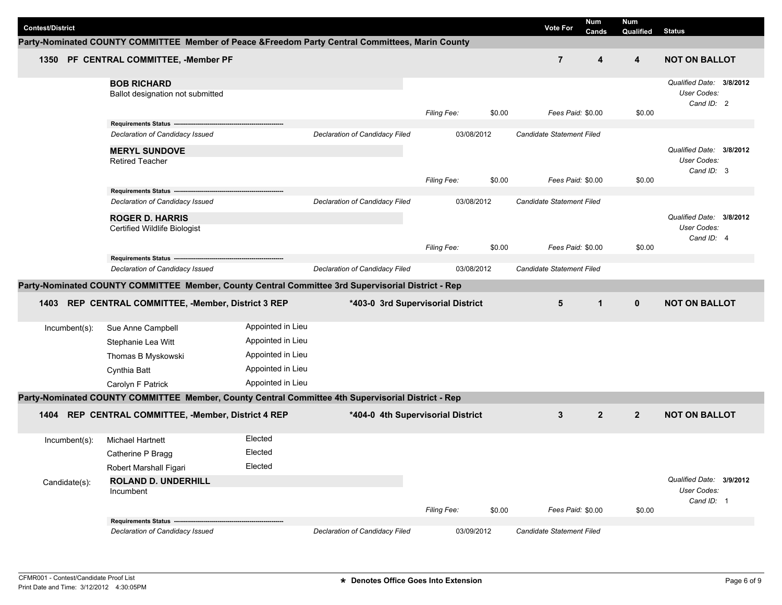| <b>Contest/District</b> |                                                                                                    |                   |                                   |                    |        | <b>Vote For</b>                  | <b>Num</b><br>Cands | Num<br>Qualified | <b>Status</b>                           |
|-------------------------|----------------------------------------------------------------------------------------------------|-------------------|-----------------------------------|--------------------|--------|----------------------------------|---------------------|------------------|-----------------------------------------|
|                         | Party-Nominated COUNTY COMMITTEE Member of Peace &Freedom Party Central Committees, Marin County   |                   |                                   |                    |        |                                  |                     |                  |                                         |
| 1350                    | PF CENTRAL COMMITTEE, -Member PF                                                                   |                   |                                   |                    |        | $\overline{7}$                   | 4                   | 4                | <b>NOT ON BALLOT</b>                    |
|                         | <b>BOB RICHARD</b>                                                                                 |                   |                                   |                    |        |                                  |                     |                  | Qualified Date: 3/8/2012<br>User Codes: |
|                         | Ballot designation not submitted                                                                   |                   |                                   | <b>Filing Fee:</b> | \$0.00 | Fees Paid: \$0.00                |                     | \$0.00           | Cand ID: 2                              |
|                         | Requirements Status --                                                                             |                   |                                   |                    |        |                                  |                     |                  |                                         |
|                         | Declaration of Candidacy Issued                                                                    |                   | Declaration of Candidacy Filed    | 03/08/2012         |        | Candidate Statement Filed        |                     |                  |                                         |
|                         | <b>MERYL SUNDOVE</b>                                                                               |                   |                                   |                    |        |                                  |                     |                  | Qualified Date: 3/8/2012                |
|                         | <b>Retired Teacher</b>                                                                             |                   |                                   |                    |        |                                  |                     |                  | User Codes:<br>Cand ID: 3               |
|                         |                                                                                                    |                   |                                   | <b>Filing Fee:</b> | \$0.00 | Fees Paid: \$0.00                |                     | \$0.00           |                                         |
|                         | Requirements Status ---                                                                            |                   |                                   |                    |        |                                  |                     |                  |                                         |
|                         | Declaration of Candidacy Issued                                                                    |                   | Declaration of Candidacy Filed    | 03/08/2012         |        | Candidate Statement Filed        |                     |                  |                                         |
|                         | <b>ROGER D. HARRIS</b>                                                                             |                   |                                   |                    |        |                                  |                     |                  | Qualified Date: 3/8/2012<br>User Codes: |
|                         | Certified Wildlife Biologist                                                                       |                   |                                   |                    |        |                                  |                     |                  | Cand ID: 4                              |
|                         |                                                                                                    |                   |                                   | Filing Fee:        | \$0.00 | Fees Paid: \$0.00                |                     | \$0.00           |                                         |
|                         | Requirements Status --<br>Declaration of Candidacy Issued                                          |                   | Declaration of Candidacy Filed    | 03/08/2012         |        | <b>Candidate Statement Filed</b> |                     |                  |                                         |
|                         | Party-Nominated COUNTY COMMITTEE Member, County Central Committee 3rd Supervisorial District - Rep |                   |                                   |                    |        |                                  |                     |                  |                                         |
|                         |                                                                                                    |                   |                                   |                    |        |                                  |                     |                  |                                         |
| 1403                    | REP CENTRAL COMMITTEE, -Member, District 3 REP                                                     |                   | *403-0 3rd Supervisorial District |                    |        | 5                                | $\mathbf{1}$        | $\mathbf 0$      | <b>NOT ON BALLOT</b>                    |
| $Incumbent(s)$ :        | Sue Anne Campbell                                                                                  | Appointed in Lieu |                                   |                    |        |                                  |                     |                  |                                         |
|                         | Stephanie Lea Witt                                                                                 | Appointed in Lieu |                                   |                    |        |                                  |                     |                  |                                         |
|                         | Thomas B Myskowski                                                                                 | Appointed in Lieu |                                   |                    |        |                                  |                     |                  |                                         |
|                         | Cynthia Batt                                                                                       | Appointed in Lieu |                                   |                    |        |                                  |                     |                  |                                         |
|                         | Carolyn F Patrick                                                                                  | Appointed in Lieu |                                   |                    |        |                                  |                     |                  |                                         |
|                         | Party-Nominated COUNTY COMMITTEE Member, County Central Committee 4th Supervisorial District - Rep |                   |                                   |                    |        |                                  |                     |                  |                                         |
| 1404                    | REP CENTRAL COMMITTEE, -Member, District 4 REP                                                     |                   | *404-0 4th Supervisorial District |                    |        | 3                                | $\overline{2}$      | $\overline{2}$   | <b>NOT ON BALLOT</b>                    |
| Incumbent(s):           | <b>Michael Hartnett</b>                                                                            | Elected           |                                   |                    |        |                                  |                     |                  |                                         |
|                         | Catherine P Bragg                                                                                  | Elected           |                                   |                    |        |                                  |                     |                  |                                         |
|                         | Robert Marshall Figari                                                                             | Elected           |                                   |                    |        |                                  |                     |                  |                                         |
| Candidate(s):           | <b>ROLAND D. UNDERHILL</b>                                                                         |                   |                                   |                    |        |                                  |                     |                  | Qualified Date: 3/9/2012                |
|                         | Incumbent                                                                                          |                   |                                   |                    |        |                                  |                     |                  | User Codes:<br>Cand ID: 1               |
|                         |                                                                                                    |                   |                                   | Filing Fee:        | \$0.00 | Fees Paid: \$0.00                |                     | \$0.00           |                                         |
|                         | Requirements Status ---------------                                                                |                   |                                   |                    |        |                                  |                     |                  |                                         |
|                         | Declaration of Candidacy Issued                                                                    |                   | Declaration of Candidacy Filed    | 03/09/2012         |        | Candidate Statement Filed        |                     |                  |                                         |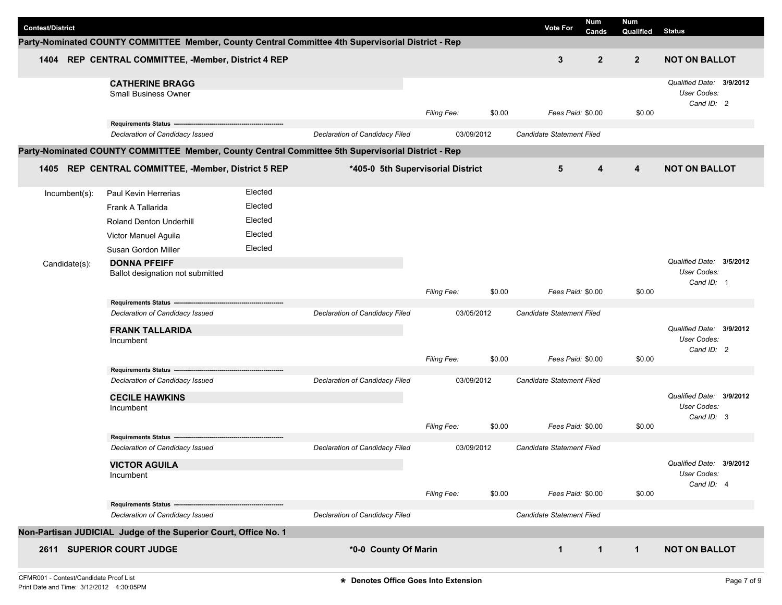| <b>Contest/District</b> |                                                                                                    |         |                                   |                    |        | <b>Vote For</b>                  | Num<br>Cands | Num<br>Qualified | <b>Status</b>                                         |  |
|-------------------------|----------------------------------------------------------------------------------------------------|---------|-----------------------------------|--------------------|--------|----------------------------------|--------------|------------------|-------------------------------------------------------|--|
|                         | Party-Nominated COUNTY COMMITTEE Member, County Central Committee 4th Supervisorial District - Rep |         |                                   |                    |        |                                  |              |                  |                                                       |  |
|                         | 1404 REP CENTRAL COMMITTEE, -Member, District 4 REP                                                |         |                                   |                    |        | 3                                | $\mathbf{2}$ | $\overline{2}$   | <b>NOT ON BALLOT</b>                                  |  |
|                         | <b>CATHERINE BRAGG</b><br><b>Small Business Owner</b>                                              |         |                                   |                    |        |                                  |              |                  | Qualified Date: 3/9/2012<br>User Codes:<br>Cand ID: 2 |  |
|                         |                                                                                                    |         |                                   | <b>Filing Fee:</b> | \$0.00 | Fees Paid: \$0.00                |              | \$0.00           |                                                       |  |
|                         | Declaration of Candidacy Issued                                                                    |         | Declaration of Candidacy Filed    | 03/09/2012         |        | Candidate Statement Filed        |              |                  |                                                       |  |
|                         | Party-Nominated COUNTY COMMITTEE Member, County Central Committee 5th Supervisorial District - Rep |         |                                   |                    |        |                                  |              |                  |                                                       |  |
|                         | 1405 REP CENTRAL COMMITTEE, -Member, District 5 REP                                                |         | *405-0 5th Supervisorial District |                    |        | 5                                | 4            | 4                | <b>NOT ON BALLOT</b>                                  |  |
| Incumbent(s):           | Paul Kevin Herrerias                                                                               | Elected |                                   |                    |        |                                  |              |                  |                                                       |  |
|                         | Frank A Tallarida                                                                                  | Elected |                                   |                    |        |                                  |              |                  |                                                       |  |
|                         | <b>Roland Denton Underhill</b>                                                                     | Elected |                                   |                    |        |                                  |              |                  |                                                       |  |
|                         | Victor Manuel Aguila                                                                               | Elected |                                   |                    |        |                                  |              |                  |                                                       |  |
|                         | Susan Gordon Miller                                                                                | Elected |                                   |                    |        |                                  |              |                  |                                                       |  |
| Candidate(s):           | <b>DONNA PFEIFF</b>                                                                                |         |                                   |                    |        |                                  |              |                  | Qualified Date: 3/5/2012                              |  |
|                         | Ballot designation not submitted                                                                   |         |                                   |                    |        |                                  |              |                  | User Codes:                                           |  |
|                         |                                                                                                    |         |                                   | <b>Filing Fee:</b> | \$0.00 | Fees Paid: \$0.00                |              | \$0.00           | Cand ID: 1                                            |  |
|                         | Requirements Status --                                                                             |         |                                   |                    |        |                                  |              |                  |                                                       |  |
|                         | Declaration of Candidacy Issued                                                                    |         | Declaration of Candidacy Filed    | 03/05/2012         |        | <b>Candidate Statement Filed</b> |              |                  |                                                       |  |
|                         | <b>FRANK TALLARIDA</b>                                                                             |         |                                   |                    |        |                                  |              |                  | Qualified Date: 3/9/2012                              |  |
|                         | Incumbent                                                                                          |         |                                   |                    |        |                                  |              |                  | User Codes:<br>Cand ID: 2                             |  |
|                         |                                                                                                    |         |                                   | <b>Filing Fee:</b> | \$0.00 | Fees Paid: \$0.00                |              | \$0.00           |                                                       |  |
|                         | Requirements Status --                                                                             |         |                                   | 03/09/2012         |        | Candidate Statement Filed        |              |                  |                                                       |  |
|                         | Declaration of Candidacy Issued                                                                    |         | Declaration of Candidacy Filed    |                    |        |                                  |              |                  |                                                       |  |
|                         | <b>CECILE HAWKINS</b><br>Incumbent                                                                 |         |                                   |                    |        |                                  |              |                  | Qualified Date: 3/9/2012<br>User Codes:               |  |
|                         |                                                                                                    |         |                                   |                    |        |                                  |              |                  | Cand ID: 3                                            |  |
|                         |                                                                                                    |         |                                   | <b>Filing Fee:</b> | \$0.00 | Fees Paid: \$0.00                |              | \$0.00           |                                                       |  |
|                         | <b>Requirements Status</b><br>Declaration of Candidacy Issued                                      |         | Declaration of Candidacy Filed    | 03/09/2012         |        | <b>Candidate Statement Filed</b> |              |                  |                                                       |  |
|                         | <b>VICTOR AGUILA</b>                                                                               |         |                                   |                    |        |                                  |              |                  | Qualified Date: 3/9/2012                              |  |
|                         | Incumbent                                                                                          |         |                                   |                    |        |                                  |              |                  | User Codes:                                           |  |
|                         |                                                                                                    |         |                                   | Filing Fee:        | \$0.00 | Fees Paid: \$0.00                |              | \$0.00           | Cand ID: 4                                            |  |
|                         | Requirements Status ---------------------                                                          |         |                                   |                    |        |                                  |              |                  |                                                       |  |
|                         | Declaration of Candidacy Issued                                                                    |         | Declaration of Candidacy Filed    |                    |        | Candidate Statement Filed        |              |                  |                                                       |  |
|                         | Non-Partisan JUDICIAL Judge of the Superior Court, Office No. 1                                    |         |                                   |                    |        |                                  |              |                  |                                                       |  |
|                         | 2611 SUPERIOR COURT JUDGE                                                                          |         | *0-0 County Of Marin              |                    |        | $\mathbf 1$                      | $\mathbf{1}$ | $\mathbf{1}$     | <b>NOT ON BALLOT</b>                                  |  |
|                         |                                                                                                    |         |                                   |                    |        |                                  |              |                  |                                                       |  |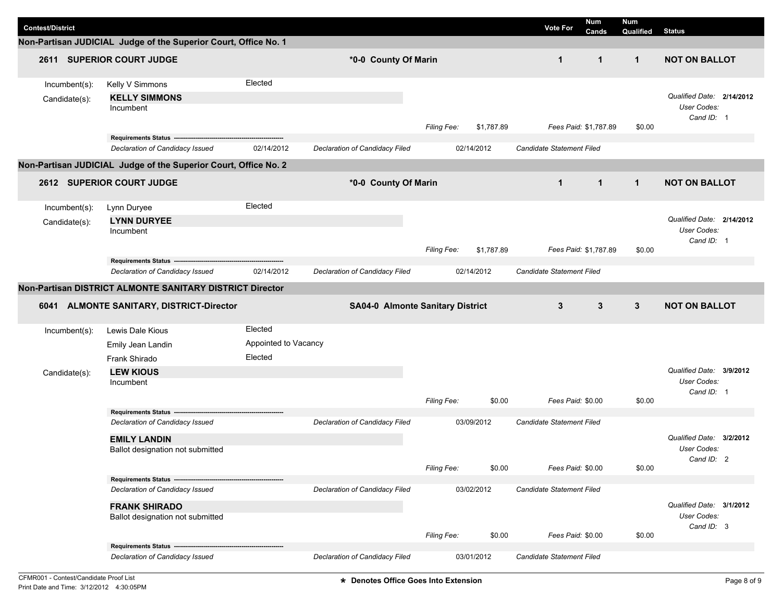| <b>Contest/District</b>        | Non-Partisan JUDICIAL Judge of the Superior Court, Office No. 1                                                            |                                            |                                              |                    |            | <b>Vote For</b>           | <b>Num</b><br>Cands   | Num<br>Qualified | <b>Status</b>                                                 |
|--------------------------------|----------------------------------------------------------------------------------------------------------------------------|--------------------------------------------|----------------------------------------------|--------------------|------------|---------------------------|-----------------------|------------------|---------------------------------------------------------------|
|                                | 2611 SUPERIOR COURT JUDGE                                                                                                  |                                            | *0-0 County Of Marin                         |                    |            | $\mathbf{1}$              | $\mathbf 1$           | $\mathbf{1}$     | <b>NOT ON BALLOT</b>                                          |
| Incumbent(s):<br>Candidate(s): | Kelly V Simmons<br><b>KELLY SIMMONS</b><br>Incumbent                                                                       | Elected                                    |                                              | <b>Filing Fee:</b> | \$1,787.89 |                           | Fees Paid: \$1,787.89 | \$0.00           | Qualified Date: 2/14/2012<br><b>User Codes:</b><br>Cand ID: 1 |
|                                | <b>Requirements Status</b><br>Declaration of Candidacy Issued                                                              | 02/14/2012                                 | Declaration of Candidacy Filed               |                    | 02/14/2012 | Candidate Statement Filed |                       |                  |                                                               |
|                                | Non-Partisan JUDICIAL Judge of the Superior Court, Office No. 2                                                            |                                            |                                              |                    |            |                           |                       |                  |                                                               |
|                                | 2612 SUPERIOR COURT JUDGE                                                                                                  |                                            | *0-0 County Of Marin                         |                    |            | $\mathbf{1}$              | $\mathbf{1}$          | $\mathbf{1}$     | <b>NOT ON BALLOT</b>                                          |
| Incumbent(s):                  | Lynn Duryee                                                                                                                | Elected                                    |                                              |                    |            |                           |                       |                  |                                                               |
| Candidate(s):                  | <b>LYNN DURYEE</b><br>Incumbent                                                                                            |                                            |                                              |                    |            |                           |                       |                  | Qualified Date: 2/14/2012<br><b>User Codes:</b><br>Cand ID: 1 |
|                                |                                                                                                                            |                                            |                                              | Filing Fee:        | \$1,787.89 |                           | Fees Paid: \$1.787.89 | \$0.00           |                                                               |
|                                | Requirements Status --<br>Declaration of Candidacy Issued                                                                  | 02/14/2012                                 | Declaration of Candidacy Filed               |                    | 02/14/2012 | Candidate Statement Filed |                       |                  |                                                               |
|                                | Non-Partisan DISTRICT ALMONTE SANITARY DISTRICT Director                                                                   |                                            |                                              |                    |            |                           |                       |                  |                                                               |
|                                | 6041 ALMONTE SANITARY, DISTRICT-Director                                                                                   |                                            | <b>SA04-0 Almonte Sanitary District</b>      |                    |            | 3                         | 3                     | $\mathbf{3}$     | <b>NOT ON BALLOT</b>                                          |
| $Incumbent(s)$ :               | Lewis Dale Kious<br>Emily Jean Landin<br>Frank Shirado                                                                     | Elected<br>Appointed to Vacancy<br>Elected |                                              |                    |            |                           |                       |                  |                                                               |
| Candidate(s):                  | <b>LEW KIOUS</b><br>Incumbent                                                                                              |                                            |                                              |                    |            |                           |                       |                  | Qualified Date: 3/9/2012<br>User Codes:                       |
|                                |                                                                                                                            |                                            |                                              | Filing Fee:        | \$0.00     | Fees Paid: \$0.00         |                       | \$0.00           | Cand ID: 1                                                    |
|                                | <b>Requirements Status -</b><br>Declaration of Candidacy Issued<br><b>EMILY LANDIN</b><br>Ballot designation not submitted |                                            | 03/09/2012<br>Declaration of Candidacy Filed |                    |            | Candidate Statement Filed |                       |                  | Qualified Date: 3/2/2012<br>User Codes:                       |
|                                |                                                                                                                            |                                            |                                              | Filing Fee:        | \$0.00     | Fees Paid: \$0.00         |                       | \$0.00           | Cand ID: 2                                                    |
|                                | Requirements Status ----------------------<br>Declaration of Candidacy Issued                                              |                                            | Declaration of Candidacy Filed               |                    | 03/02/2012 | Candidate Statement Filed |                       |                  |                                                               |
|                                | <b>FRANK SHIRADO</b><br>Ballot designation not submitted                                                                   |                                            |                                              | <b>Filing Fee:</b> | \$0.00     | Fees Paid: \$0.00         |                       | \$0.00           | Qualified Date: 3/1/2012<br>User Codes:<br>Cand ID: 3         |
|                                | Requirements Status -----------------------                                                                                |                                            |                                              |                    |            |                           |                       |                  |                                                               |
|                                | Declaration of Candidacy Issued                                                                                            |                                            | Declaration of Candidacy Filed               |                    | 03/01/2012 | Candidate Statement Filed |                       |                  |                                                               |